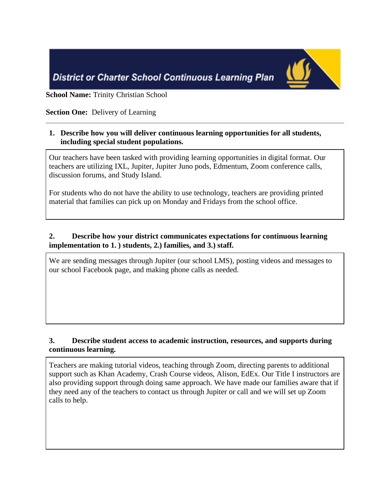

**School Name:** Trinity Christian School

## **Section One:** Delivery of Learning

### **1. Describe how you will deliver continuous learning opportunities for all students, including special student populations.**

Our teachers have been tasked with providing learning opportunities in digital format. Our teachers are utilizing IXL, Jupiter, Jupiter Juno pods, Edmentum, Zoom conference calls, discussion forums, and Study Island.

For students who do not have the ability to use technology, teachers are providing printed material that families can pick up on Monday and Fridays from the school office.

# **2. Describe how your district communicates expectations for continuous learning implementation to 1. ) students, 2.) families, and 3.) staff.**

We are sending messages through Jupiter (our school LMS), posting videos and messages to our school Facebook page, and making phone calls as needed.

# **3. Describe student access to academic instruction, resources, and supports during continuous learning.**

Teachers are making tutorial videos, teaching through Zoom, directing parents to additional support such as Khan Academy, Crash Course videos, Alison, EdEx. Our Title I instructors are also providing support through doing same approach. We have made our families aware that if they need any of the teachers to contact us through Jupiter or call and we will set up Zoom calls to help.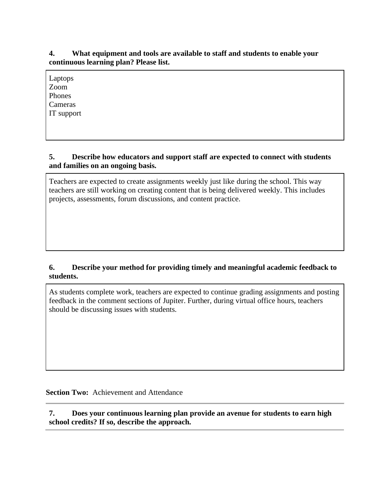### **4. What equipment and tools are available to staff and students to enable your continuous learning plan? Please list.**

| Laptops    |  |  |
|------------|--|--|
| Zoom       |  |  |
| Phones     |  |  |
| Cameras    |  |  |
| IT support |  |  |
|            |  |  |

#### **5. Describe how educators and support staff are expected to connect with students and families on an ongoing basis.**

Teachers are expected to create assignments weekly just like during the school. This way teachers are still working on creating content that is being delivered weekly. This includes projects, assessments, forum discussions, and content practice.

# **6. Describe your method for providing timely and meaningful academic feedback to students.**

As students complete work, teachers are expected to continue grading assignments and posting feedback in the comment sections of Jupiter. Further, during virtual office hours, teachers should be discussing issues with students.

**Section Two:** Achievement and Attendance

**7. Does your continuous learning plan provide an avenue for students to earn high school credits? If so, describe the approach.**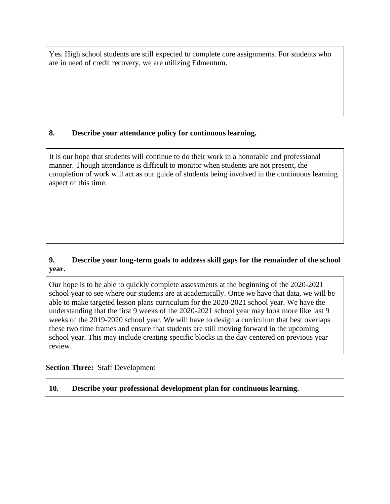Yes. High school students are still expected to complete core assignments. For students who are in need of credit recovery, we are utilizing Edmentum.

### **8. Describe your attendance policy for continuous learning.**

It is our hope that students will continue to do their work in a honorable and professional manner. Though attendance is difficult to monitor when students are not present, the completion of work will act as our guide of students being involved in the continuous learning aspect of this time.

# **9. Describe your long-term goals to address skill gaps for the remainder of the school year.**

Our hope is to be able to quickly complete assessments at the beginning of the 2020-2021 school year to see where our students are at academically. Once we have that data, we will be able to make targeted lesson plans curriculum for the 2020-2021 school year. We have the understanding that the first 9 weeks of the 2020-2021 school year may look more like last 9 weeks of the 2019-2020 school year. We will have to design a curriculum that best overlaps these two time frames and ensure that students are still moving forward in the upcoming school year. This may include creating specific blocks in the day centered on previous year review.

### **Section Three:** Staff Development

**10. Describe your professional development plan for continuous learning.**